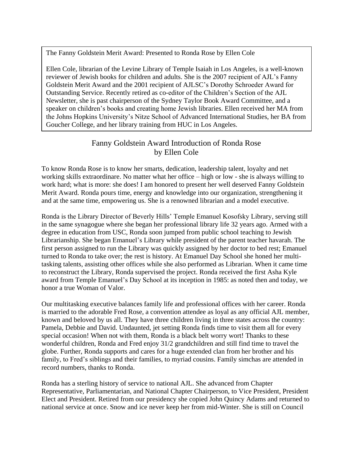The Fanny Goldstein Merit Award: Presented to Ronda Rose by Ellen Cole

Ellen Cole, librarian of the Levine Library of Temple Isaiah in Los Angeles, is a well-known reviewer of Jewish books for children and adults. She is the 2007 recipient of AJL's Fanny Goldstein Merit Award and the 2001 recipient of AJLSC's Dorothy Schroeder Award for Outstanding Service. Recently retired as co-editor of the Children's Section of the AJL Newsletter, she is past chairperson of the Sydney Taylor Book Award Committee, and a speaker on children's books and creating home Jewish libraries. Ellen received her MA from the Johns Hopkins University's Nitze School of Advanced International Studies, her BA from Goucher College, and her library training from HUC in Los Angeles.

## Fanny Goldstein Award Introduction of Ronda Rose by Ellen Cole

To know Ronda Rose is to know her smarts, dedication, leadership talent, loyalty and net working skills extraordinare. No matter what her office – high or low - she is always willing to work hard; what is more: she does! I am honored to present her well deserved Fanny Goldstein Merit Award. Ronda pours time, energy and knowledge into our organization, strengthening it and at the same time, empowering us. She is a renowned librarian and a model executive.

Ronda is the Library Director of Beverly Hills' Temple Emanuel Kosofsky Library, serving still in the same synagogue where she began her professional library life 32 years ago. Armed with a degree in education from USC, Ronda soon jumped from public school teaching to Jewish Librarianship. She began Emanuel's Library while president of the parent teacher havarah. The first person assigned to run the Library was quickly assigned by her doctor to bed rest; Emanuel turned to Ronda to take over; the rest is history. At Emanuel Day School she honed her multitasking talents, assisting other offices while she also performed as Librarian. When it came time to reconstruct the Library, Ronda supervised the project. Ronda received the first Asha Kyle award from Temple Emanuel's Day School at its inception in 1985: as noted then and today, we honor a true Woman of Valor.

Our multitasking executive balances family life and professional offices with her career. Ronda is married to the adorable Fred Rose, a convention attendee as loyal as any official AJL member, known and beloved by us all. They have three children living in three states across the country: Pamela, Debbie and David. Undaunted, jet setting Ronda finds time to visit them all for every special occasion! When not with them, Ronda is a black belt worry wort! Thanks to these wonderful children, Ronda and Fred enjoy 31/2 grandchildren and still find time to travel the globe. Further, Ronda supports and cares for a huge extended clan from her brother and his family, to Fred's siblings and their families, to myriad cousins. Family simchas are attended in record numbers, thanks to Ronda.

Ronda has a sterling history of service to national AJL. She advanced from Chapter Representative, Parliamentarian, and National Chapter Chairperson, to Vice President, President Elect and President. Retired from our presidency she copied John Quincy Adams and returned to national service at once. Snow and ice never keep her from mid-Winter. She is still on Council